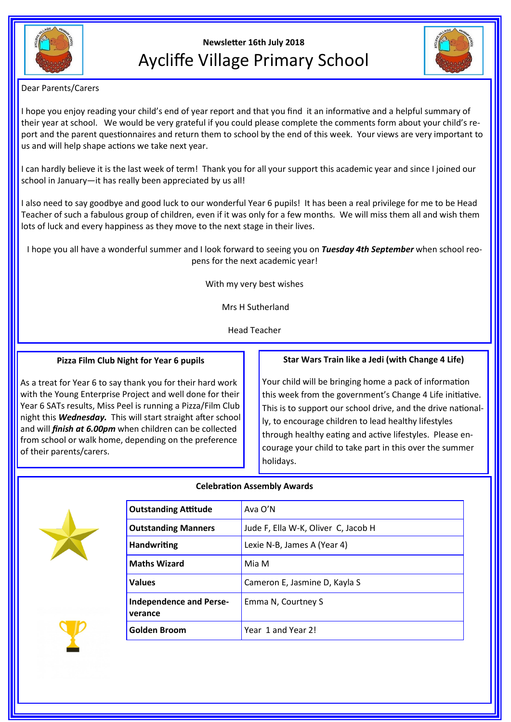

# **Newsletter 16th July 2018** Aycliffe Village Primary School



Dear Parents/Carers

I hope you enjoy reading your child's end of year report and that you find it an informative and a helpful summary of their year at school. We would be very grateful if you could please complete the comments form about your child's report and the parent questionnaires and return them to school by the end of this week. Your views are very important to us and will help shape actions we take next year.

I can hardly believe it is the last week of term! Thank you for all your support this academic year and since I joined our school in January—it has really been appreciated by us all!

I also need to say goodbye and good luck to our wonderful Year 6 pupils! It has been a real privilege for me to be Head Teacher of such a fabulous group of children, even if it was only for a few months. We will miss them all and wish them lots of luck and every happiness as they move to the next stage in their lives.

I hope you all have a wonderful summer and I look forward to seeing you on *Tuesday 4th September* when school reopens for the next academic year!

With my very best wishes

Mrs H Sutherland

Head Teacher

#### **Pizza Film Club Night for Year 6 pupils**

As a treat for Year 6 to say thank you for their hard work with the Young Enterprise Project and well done for their Year 6 SATs results, Miss Peel is running a Pizza/Film Club night this *Wednesday.* This will start straight after school and will *finish at 6.00pm* when children can be collected from school or walk home, depending on the preference of their parents/carers.

#### **Star Wars Train like a Jedi (with Change 4 Life)**

Your child will be bringing home a pack of information this week from the government's Change 4 Life initiative. This is to support our school drive, and the drive nationally, to encourage children to lead healthy lifestyles through healthy eating and active lifestyles. Please encourage your child to take part in this over the summer holidays.



## **Outstanding Attitude** Ava O'N **Outstanding Manners** Jude F, Ella W-K, Oliver C, Jacob H **Handwriting** Lexie N-B, James A (Year 4) **Maths Wizard** Mia M **Values Cameron E, Jasmine D, Kayla S Independence and Perseverance** Emma N, Courtney S **Golden Broom** Year 1 and Year 2!

### **Celebration Assembly Awards**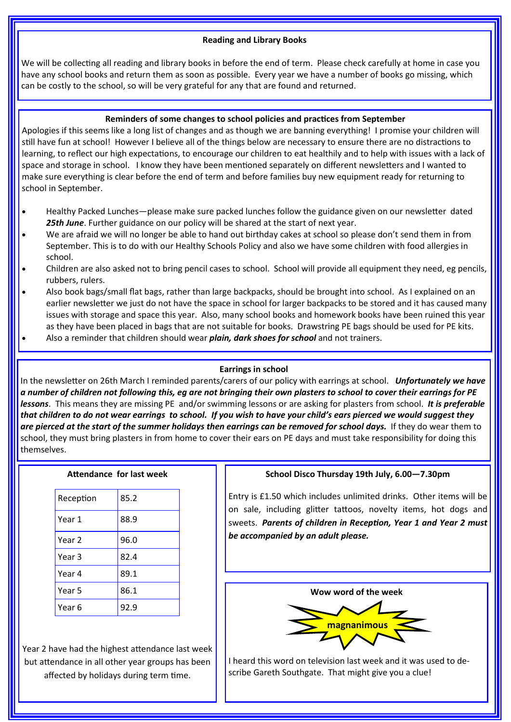#### **Reading and Library Books**

We will be collecting all reading and library books in before the end of term. Please check carefully at home in case you have any school books and return them as soon as possible. Every year we have a number of books go missing, which can be costly to the school, so will be very grateful for any that are found and returned.

#### **Reminders of some changes to school policies and practices from September**

Apologies if this seems like a long list of changes and as though we are banning everything! I promise your children will still have fun at school! However I believe all of the things below are necessary to ensure there are no distractions to learning, to reflect our high expectations, to encourage our children to eat healthily and to help with issues with a lack of space and storage in school. I know they have been mentioned separately on different newsletters and I wanted to make sure everything is clear before the end of term and before families buy new equipment ready for returning to school in September.

- Healthy Packed Lunches—please make sure packed lunches follow the guidance given on our newsletter dated *25th June*. Further guidance on our policy will be shared at the start of next year.
- We are afraid we will no longer be able to hand out birthday cakes at school so please don't send them in from September. This is to do with our Healthy Schools Policy and also we have some children with food allergies in school.
- Children are also asked not to bring pencil cases to school. School will provide all equipment they need, eg pencils, rubbers, rulers.
- Also book bags/small flat bags, rather than large backpacks, should be brought into school. As I explained on an earlier newsletter we just do not have the space in school for larger backpacks to be stored and it has caused many issues with storage and space this year. Also, many school books and homework books have been ruined this year as they have been placed in bags that are not suitable for books. Drawstring PE bags should be used for PE kits.
- Also a reminder that children should wear *plain, dark shoes for school* and not trainers.

#### **Earrings in school**

In the newsletter on 26th March I reminded parents/carers of our policy with earrings at school. *Unfortunately we have a number of children not following this, eg are not bringing their own plasters to school to cover their earrings for PE lessons*. This means they are missing PE and/or swimming lessons or are asking for plasters from school. *It is preferable that children to do not wear earrings to school. If you wish to have your child's ears pierced we would suggest they*  are pierced at the start of the summer holidays then earrings can be removed for school days. If they do wear them to school, they must bring plasters in from home to cover their ears on PE days and must take responsibility for doing this themselves.

#### **Attendance for last week**

| Reception         | 85.2 |
|-------------------|------|
| Year 1            | 88.9 |
| Year <sub>2</sub> | 96.0 |
| Year 3            | 82.4 |
| Year 4            | 89.1 |
| Year 5            | 86.1 |
| Year 6            | 92.9 |

Year 2 have had the highest attendance last week but attendance in all other year groups has been affected by holidays during term time.

#### **School Disco Thursday 19th July, 6.00—7.30pm**

Entry is £1.50 which includes unlimited drinks. Other items will be on sale, including glitter tattoos, novelty items, hot dogs and sweets. *Parents of children in Reception, Year 1 and Year 2 must be accompanied by an adult please.*



I heard this word on television last week and it was used to describe Gareth Southgate. That might give you a clue!